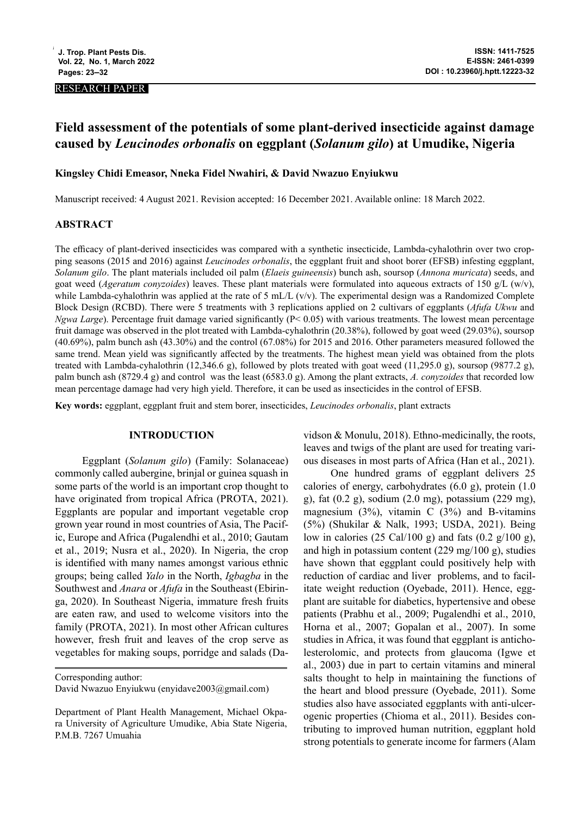#### RESEARCH PAPER

# **Field assessment of the potentials of some plant-derived insecticide against damage caused by** *Leucinodes orbonalis* **on eggplant (***Solanum gilo***) at Umudike, Nigeria**

## **Kingsley Chidi Emeasor, Nneka Fidel Nwahiri, & David Nwazuo Enyiukwu**

Manuscript received: 4 August 2021. Revision accepted: 16 December 2021. Available online: 18 March 2022.

#### **ABSTRACT**

The efficacy of plant-derived insecticides was compared with a synthetic insecticide, Lambda-cyhalothrin over two cropping seasons (2015 and 2016) against *Leucinodes orbonalis*, the eggplant fruit and shoot borer (EFSB) infesting eggplant, *Solanum gilo*. The plant materials included oil palm (*Elaeis guineensis*) bunch ash, soursop (*Annona muricata*) seeds, and goat weed (*Ageratum conyzoides*) leaves. These plant materials were formulated into aqueous extracts of 150 g/L (w/v), while Lambda-cyhalothrin was applied at the rate of 5 mL/L (v/v). The experimental design was a Randomized Complete Block Design (RCBD). There were 5 treatments with 3 replications applied on 2 cultivars of eggplants (*Afufa Ukwu* and *Ngwa Large*). Percentage fruit damage varied significantly (P< 0.05) with various treatments. The lowest mean percentage fruit damage was observed in the plot treated with Lambda-cyhalothrin (20.38%), followed by goat weed (29.03%), soursop (40.69%), palm bunch ash (43.30%) and the control (67.08%) for 2015 and 2016. Other parameters measured followed the same trend. Mean yield was significantly affected by the treatments. The highest mean yield was obtained from the plots treated with Lambda-cyhalothrin (12,346.6 g), followed by plots treated with goat weed (11,295.0 g), soursop (9877.2 g), palm bunch ash (8729.4 g) and control was the least (6583.0 g). Among the plant extracts, *A. conyzoides* that recorded low mean percentage damage had very high yield. Therefore, it can be used as insecticides in the control of EFSB.

**Key words:** eggplant, eggplant fruit and stem borer, insecticides, *Leucinodes orbonalis*, plant extracts

#### **INTRODUCTION**

Eggplant (*Solanum gilo*) (Family: Solanaceae) commonly called aubergine, brinjal or guinea squash in some parts of the world is an important crop thought to have originated from tropical Africa (PROTA, 2021). Eggplants are popular and important vegetable crop grown year round in most countries of Asia, The Pacific, Europe and Africa (Pugalendhi et al., 2010; Gautam et al., 2019; Nusra et al., 2020). In Nigeria, the crop is identified with many names amongst various ethnic groups; being called *Yalo* in the North, *Igbagba* in the Southwest and *Anara* or *Afufa* in the Southeast (Ebiringa, 2020). In Southeast Nigeria, immature fresh fruits are eaten raw, and used to welcome visitors into the family (PROTA, 2021). In most other African cultures however, fresh fruit and leaves of the crop serve as vegetables for making soups, porridge and salads (Da-

Corresponding author:

vidson & Monulu, 2018). Ethno-medicinally, the roots, leaves and twigs of the plant are used for treating various diseases in most parts of Africa (Han et al., 2021).

One hundred grams of eggplant delivers 25 calories of energy, carbohydrates (6.0 g), protein (1.0 g), fat (0.2 g), sodium (2.0 mg), potassium (229 mg), magnesium  $(3\%)$ , vitamin C  $(3\%)$  and B-vitamins (5%) (Shukilar & Nalk, 1993; USDA, 2021). Being low in calories (25 Cal/100 g) and fats (0.2 g/100 g), and high in potassium content (229 mg/100 g), studies have shown that eggplant could positively help with reduction of cardiac and liver problems, and to facilitate weight reduction (Oyebade, 2011). Hence, eggplant are suitable for diabetics, hypertensive and obese patients (Prabhu et al., 2009; Pugalendhi et al., 2010, Horna et al., 2007; Gopalan et al., 2007). In some studies in Africa, it was found that eggplant is anticholesterolomic, and protects from glaucoma (Igwe et al., 2003) due in part to certain vitamins and mineral salts thought to help in maintaining the functions of the heart and blood pressure (Oyebade, 2011). Some studies also have associated eggplants with anti-ulcerogenic properties (Chioma et al., 2011). Besides contributing to improved human nutrition, eggplant hold strong potentials to generate income for farmers (Alam

David Nwazuo Enyiukwu (enyidave2003@gmail.com)

Department of Plant Health Management, Michael Okpara University of Agriculture Umudike, Abia State Nigeria, P.M.B. 7267 Umuahia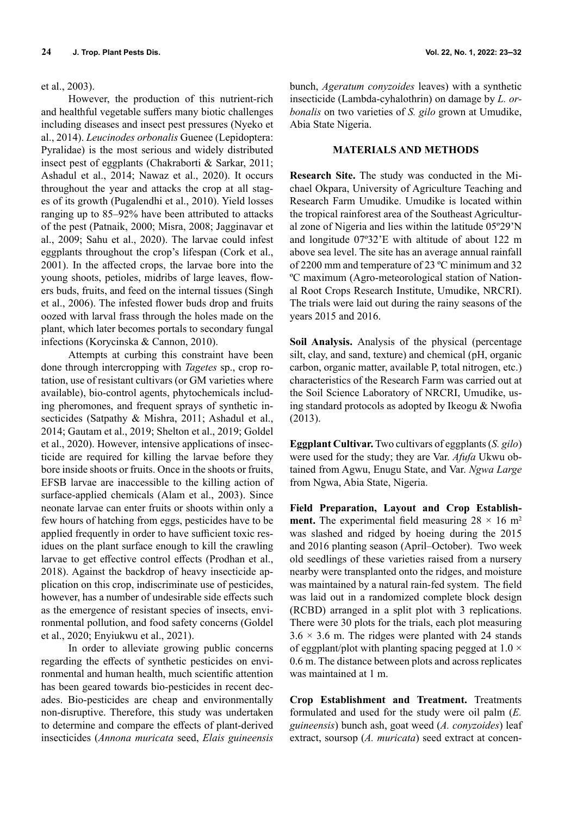## et al., 2003).

However, the production of this nutrient-rich and healthful vegetable suffers many biotic challenges including diseases and insect pest pressures (Nyeko et al., 2014). *Leucinodes orbonalis* Guenee (Lepidoptera: Pyralidae) is the most serious and widely distributed insect pest of eggplants (Chakraborti & Sarkar, 2011; Ashadul et al., 2014; Nawaz et al., 2020). It occurs throughout the year and attacks the crop at all stages of its growth (Pugalendhi et al., 2010). Yield losses ranging up to 85–92% have been attributed to attacks of the pest (Patnaik, 2000; Misra, 2008; Jagginavar et al., 2009; Sahu et al., 2020). The larvae could infest eggplants throughout the crop's lifespan (Cork et al., 2001). In the affected crops, the larvae bore into the young shoots, petioles, midribs of large leaves, flowers buds, fruits, and feed on the internal tissues (Singh et al., 2006). The infested flower buds drop and fruits oozed with larval frass through the holes made on the plant, which later becomes portals to secondary fungal infections (Korycinska & Cannon, 2010).

Attempts at curbing this constraint have been done through intercropping with *Tagetes* sp., crop rotation, use of resistant cultivars (or GM varieties where available), bio-control agents, phytochemicals including pheromones, and frequent sprays of synthetic insecticides (Satpathy & Mishra, 2011; Ashadul et al., 2014; Gautam et al., 2019; Shelton et al., 2019; Goldel et al., 2020). However, intensive applications of insecticide are required for killing the larvae before they bore inside shoots or fruits. Once in the shoots or fruits, EFSB larvae are inaccessible to the killing action of surface-applied chemicals (Alam et al., 2003). Since neonate larvae can enter fruits or shoots within only a few hours of hatching from eggs, pesticides have to be applied frequently in order to have sufficient toxic residues on the plant surface enough to kill the crawling larvae to get effective control effects (Prodhan et al., 2018). Against the backdrop of heavy insecticide application on this crop, indiscriminate use of pesticides, however, has a number of undesirable side effects such as the emergence of resistant species of insects, environmental pollution, and food safety concerns (Goldel et al., 2020; Enyiukwu et al., 2021).

In order to alleviate growing public concerns regarding the effects of synthetic pesticides on environmental and human health, much scientific attention has been geared towards bio-pesticides in recent decades. Bio-pesticides are cheap and environmentally non-disruptive. Therefore, this study was undertaken to determine and compare the effects of plant-derived insecticides (*Annona muricata* seed, *Elais guineensis*

bunch, *Ageratum conyzoides* leaves) with a synthetic insecticide (Lambda-cyhalothrin) on damage by *L. orbonalis* on two varieties of *S. gilo* grown at Umudike, Abia State Nigeria.

## **MATERIALS AND METHODS**

**Research Site.** The study was conducted in the Michael Okpara, University of Agriculture Teaching and Research Farm Umudike. Umudike is located within the tropical rainforest area of the Southeast Agricultural zone of Nigeria and lies within the latitude 05º29'N and longitude 07º32'E with altitude of about 122 m above sea level. The site has an average annual rainfall of 2200 mm and temperature of 23 ºC minimum and 32 ºC maximum (Agro-meteorological station of National Root Crops Research Institute, Umudike, NRCRI). The trials were laid out during the rainy seasons of the years 2015 and 2016.

**Soil Analysis.** Analysis of the physical (percentage silt, clay, and sand, texture) and chemical (pH, organic carbon, organic matter, available P, total nitrogen, etc.) characteristics of the Research Farm was carried out at the Soil Science Laboratory of NRCRI, Umudike, using standard protocols as adopted by Ikeogu & Nwofia (2013).

**Eggplant Cultivar.** Two cultivars of eggplants (*S. gilo*) were used for the study; they are Var. *Afufa* Ukwu obtained from Agwu, Enugu State, and Var. *Ngwa Large* from Ngwa, Abia State, Nigeria.

**Field Preparation, Layout and Crop Establishment.** The experimental field measuring  $28 \times 16$  m<sup>2</sup> was slashed and ridged by hoeing during the 2015 and 2016 planting season (April–October). Two week old seedlings of these varieties raised from a nursery nearby were transplanted onto the ridges, and moisture was maintained by a natural rain-fed system. The field was laid out in a randomized complete block design (RCBD) arranged in a split plot with 3 replications. There were 30 plots for the trials, each plot measuring  $3.6 \times 3.6$  m. The ridges were planted with 24 stands of eggplant/plot with planting spacing pegged at  $1.0 \times$ 0.6 m. The distance between plots and across replicates was maintained at 1 m.

**Crop Establishment and Treatment.** Treatments formulated and used for the study were oil palm (*E. guineensis*) bunch ash, goat weed (*A. conyzoides*) leaf extract, soursop (*A. muricata*) seed extract at concen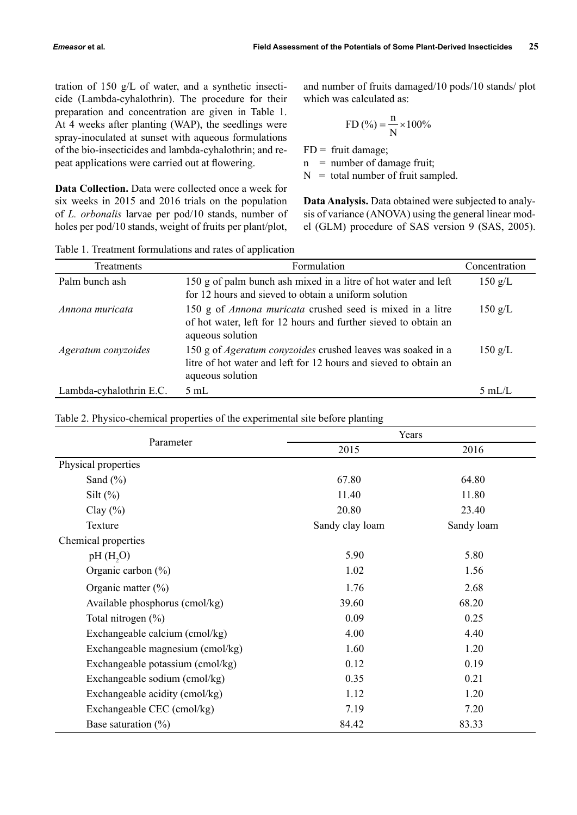tration of 150 g/L of water, and a synthetic insecticide (Lambda-cyhalothrin). The procedure for their preparation and concentration are given in Table 1. At 4 weeks after planting (WAP), the seedlings were spray-inoculated at sunset with aqueous formulations of the bio-insecticides and lambda-cyhalothrin; and repeat applications were carried out at flowering.

**Data Collection.** Data were collected once a week for six weeks in 2015 and 2016 trials on the population of *L. orbonalis* larvae per pod/10 stands, number of holes per pod/10 stands, weight of fruits per plant/plot, and number of fruits damaged/10 pods/10 stands/ plot which was calculated as:

FD (%) = 
$$
\frac{n}{N} \times 100\%
$$

 $FD =$  fruit damage;

 $n =$  number of damage fruit;

 $N =$  total number of fruit sampled.

**Data Analysis.** Data obtained were subjected to analysis of variance (ANOVA) using the general linear model (GLM) procedure of SAS version 9 (SAS, 2005).

Table 1. Treatment formulations and rates of application

| <b>Treatments</b>       | Formulation                                                                                                                                                | Concentration     |
|-------------------------|------------------------------------------------------------------------------------------------------------------------------------------------------------|-------------------|
| Palm bunch ash          | 150 g of palm bunch ash mixed in a litre of hot water and left<br>for 12 hours and sieved to obtain a uniform solution                                     | $150 \text{ g/L}$ |
| Annona muricata         | 150 g of <i>Annona muricata</i> crushed seed is mixed in a litre<br>of hot water, left for 12 hours and further sieved to obtain an<br>aqueous solution    | $150 \text{ g/L}$ |
| Ageratum conyzoides     | 150 g of <i>Ageratum conyzoides</i> crushed leaves was soaked in a<br>litre of hot water and left for 12 hours and sieved to obtain an<br>aqueous solution | $150 \text{ g/L}$ |
| Lambda-cyhalothrin E.C. | $5 \text{ mL}$                                                                                                                                             | 5mL/L             |

|                     | Years           |          |
|---------------------|-----------------|----------|
| Parameter           | 2015            | 2016     |
| Physical properties |                 |          |
| Sand $(\% )$        | 67.80           | 64.80    |
| Silt $(\%)$         | 11.40           | 11.80    |
| Clay $(\% )$        | 20.80           | 23.40    |
| Texture             | Sandy clay loam | Sandy lo |
| Chemical properties |                 |          |

Table 2. Physico-chemical properties of the experimental site before planting

| Physical properties              |                                                                              |            |
|----------------------------------|------------------------------------------------------------------------------|------------|
| Sand $(\% )$                     | 67.80                                                                        | 64.80      |
|                                  | 11.40                                                                        | 11.80      |
|                                  | 20.80                                                                        | 23.40      |
| Texture                          | Sandy clay loam                                                              | Sandy loam |
|                                  |                                                                              |            |
| pH(H, O)                         | 5.90                                                                         | 5.80       |
| Organic carbon $(\%)$            | 1.02                                                                         | 1.56       |
|                                  | 1.76                                                                         | 2.68       |
| Available phosphorus (cmol/kg)   | 39.60                                                                        | 68.20      |
| Total nitrogen $(\% )$           | 0.09                                                                         | 0.25       |
| Exchangeable calcium (cmol/kg)   | 4.00                                                                         | 4.40       |
| Exchangeable magnesium (cmol/kg) | 1.60                                                                         | 1.20       |
| Exchangeable potassium (cmol/kg) | 0.12                                                                         | 0.19       |
| Exchangeable sodium (cmol/kg)    | 0.35                                                                         | 0.21       |
| Exchangeable acidity (cmol/kg)   | 1.12                                                                         | 1.20       |
| Exchangeable CEC (cmol/kg)       | 7.19                                                                         | 7.20       |
| Base saturation $(\%)$           | 84.42                                                                        | 83.33      |
|                                  | Silt $(\%)$<br>Clay $(\% )$<br>Chemical properties<br>Organic matter $(\% )$ |            |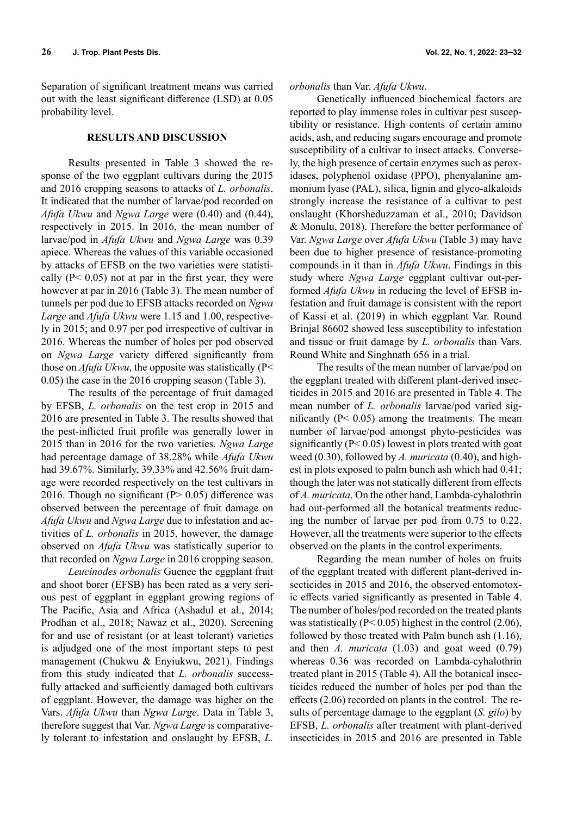Separation of significant treatment means was carried out with the least significant difference (LSD) at 0.05 probability level.

## **RESULTS AND DISCUSSION**

Results presented in Table 3 showed the response of the two eggplant cultivars during the 2015 and 2016 cropping seasons to attacks of *L. orbonalis*. It indicated that the number of larvae/pod recorded on *Afufa Ukwu* and *Ngwa Large* were (0.40) and (0.44), respectively in 2015. In 2016, the mean number of larvae/pod in *Afufa Ukwu* and *Ngwa Large* was 0.39 apiece. Whereas the values of this variable occasioned by attacks of EFSB on the two varieties were statistically  $(P< 0.05)$  not at par in the first year, they were however at par in 2016 (Table 3). The mean number of tunnels per pod due to EFSB attacks recorded on *Ngwa Large* and *Afufa Ukwu* were 1.15 and 1.00, respectively in 2015; and 0.97 per pod irrespective of cultivar in 2016. Whereas the number of holes per pod observed on *Ngwa Large* variety differed significantly from those on *Afufa Ukwu*, the opposite was statistically (P< 0.05) the case in the 2016 cropping season (Table 3).

The results of the percentage of fruit damaged by EFSB, *L. orbonalis* on the test crop in 2015 and 2016 are presented in Table 3. The results showed that the pest-inflicted fruit profile was generally lower in 2015 than in 2016 for the two varieties. *Ngwa Large* had percentage damage of 38.28% while *Afufa Ukwu* had 39.67%. Similarly, 39.33% and 42.56% fruit damage were recorded respectively on the test cultivars in 2016. Though no significant ( $P > 0.05$ ) difference was observed between the percentage of fruit damage on *Afufa Ukwu* and *Ngwa Large* due to infestation and activities of *L. orbonalis* in 2015, however, the damage observed on *Afufa Ukwu* was statistically superior to that recorded on *Ngwa Large* in 2016 cropping season.

*Leucinodes orbonalis* Guenee the eggplant fruit and shoot borer (EFSB) has been rated as a very serious pest of eggplant in eggplant growing regions of The Pacific, Asia and Africa (Ashadul et al., 2014; Prodhan et al., 2018; Nawaz et al., 2020). Screening for and use of resistant (or at least tolerant) varieties is adjudged one of the most important steps to pest management (Chukwu & Enyiukwu, 2021). Findings from this study indicated that *L. orbonalis* successfully attacked and sufficiently damaged both cultivars of eggplant. However, the damage was higher on the Vars. *Afufa Ukwu* than *Ngwa Large*. Data in Table 3, therefore suggest that Var. *Ngwa Large* is comparatively tolerant to infestation and onslaught by EFSB, *L.* 

*orbonalis* than Var. *Afufa Ukwu*.

Genetically influenced biochemical factors are reported to play immense roles in cultivar pest susceptibility or resistance. High contents of certain amino acids, ash, and reducing sugars encourage and promote susceptibility of a cultivar to insect attacks. Conversely, the high presence of certain enzymes such as peroxidases, polyphenol oxidase (PPO), phenyalanine ammonium lyase (PAL), silica, lignin and glyco-alkaloids strongly increase the resistance of a cultivar to pest onslaught (Khorsheduzzaman et al., 2010; Davidson & Monulu, 2018). Therefore the better performance of Var. *Ngwa Large* over *Afufa Ukwu* (Table 3) may have been due to higher presence of resistance-promoting compounds in it than in *Afufa Ukwu*. Findings in this study where *Ngwa Large* eggplant cultivar out-performed *Afufa Ukwu* in reducing the level of EFSB infestation and fruit damage is consistent with the report of Kassi et al. (2019) in which eggplant Var. Round Brinjal 86602 showed less susceptibility to infestation and tissue or fruit damage by *L. orbonalis* than Vars. Round White and Singhnath 656 in a trial.

The results of the mean number of larvae/pod on the eggplant treated with different plant-derived insecticides in 2015 and 2016 are presented in Table 4. The mean number of *L. orbonalis* larvae/pod varied significantly  $(P< 0.05)$  among the treatments. The mean number of larvae/pod amongst phyto-pesticides was significantly (P< 0.05) lowest in plots treated with goat weed (0.30), followed by *A. muricata* (0.40), and highest in plots exposed to palm bunch ash which had 0.41; though the later was not statically different from effects of *A. muricata*. On the other hand, Lambda-cyhalothrin had out-performed all the botanical treatments reducing the number of larvae per pod from 0.75 to 0.22. However, all the treatments were superior to the effects observed on the plants in the control experiments.

Regarding the mean number of holes on fruits of the eggplant treated with different plant-derived insecticides in 2015 and 2016, the observed entomotoxic effects varied significantly as presented in Table 4. The number of holes/pod recorded on the treated plants was statistically ( $P < 0.05$ ) highest in the control (2.06), followed by those treated with Palm bunch ash (1.16), and then *A. muricata* (1.03) and goat weed (0.79) whereas 0.36 was recorded on Lambda-cyhalothrin treated plant in 2015 (Table 4). All the botanical insecticides reduced the number of holes per pod than the effects (2.06) recorded on plants in the control. The results of percentage damage to the eggplant (*S. gilo*) by EFSB, *L. orbonalis* after treatment with plant-derived insecticides in 2015 and 2016 are presented in Table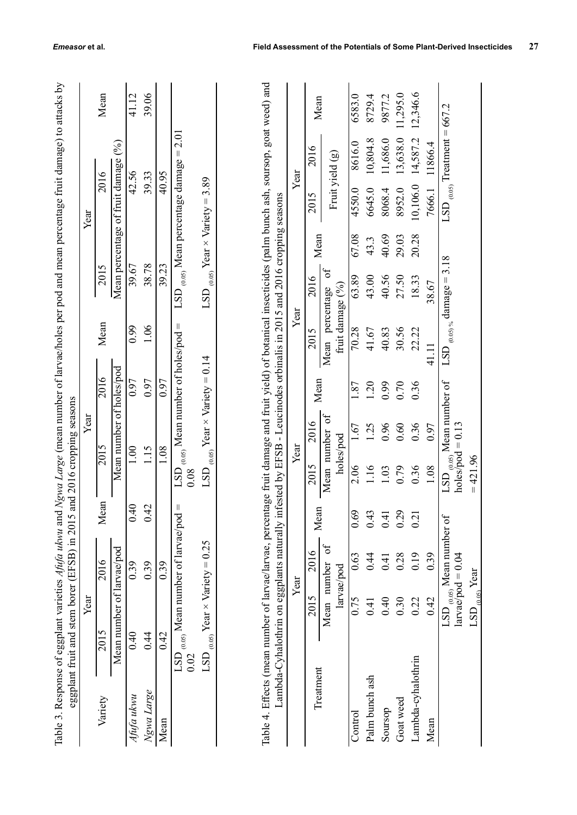| able 3. Response of eggplant varieties Afufa ukwu and Ngwa Large (mean number of larvae/holes per pod and mean percentage fruit damage) to attacks b<br>LSD $_{(0.05)}$ Mean number of holes/pod =<br>Mean number of holes/pod<br>2016<br>0.97<br>0.97<br>0.97<br>eggplant fruit and stem borer (EFSB) in 2015 and 2016 cropping seasons<br>Year<br>2015<br>1.08<br>1.15<br>1.00<br>0.08<br>Mean<br>0.40<br>LSD $_{(0.05)}$ Mean number of larvae/pod =<br>0.42<br>Mean number of larvae/pod<br>2016<br>0.39<br>0.39<br>0.39<br>Year<br>2015<br>0.42<br>0.40<br>$\frac{44}{1}$<br>0.02 | Year | Mean<br>Mean percentage of fruit damage (%)<br>2016<br>2015<br>Mean | 41.12<br>42.56<br>39.67<br>0.99 | 39.06<br>39.33<br>38.78<br>1.06 | 40.95<br>39.23 | $\text{LSD}_{(0.05)}$ Mean percentage damage = 2.01 | LSD $_{(0.05)}$ Year $\times$ Variety $=3.89$ |
|----------------------------------------------------------------------------------------------------------------------------------------------------------------------------------------------------------------------------------------------------------------------------------------------------------------------------------------------------------------------------------------------------------------------------------------------------------------------------------------------------------------------------------------------------------------------------------------|------|---------------------------------------------------------------------|---------------------------------|---------------------------------|----------------|-----------------------------------------------------|-----------------------------------------------|
|                                                                                                                                                                                                                                                                                                                                                                                                                                                                                                                                                                                        |      |                                                                     |                                 |                                 |                |                                                     | LSD $_{(0.05)}$ Year $\times$ Variety = 0.14  |
| Vgwa Large<br>Variety<br>shifa ukwu                                                                                                                                                                                                                                                                                                                                                                                                                                                                                                                                                    |      |                                                                     |                                 |                                 |                |                                                     | LSD $_{(0.05)}$ Year $\times$ Variety = 0.25  |

| able 4. Effects (mean number of larvae/larvae, percentage fruit damage and fruit yield) of botanical insecticides (palm bunch ash, soursop, goat weed) an |                                                                                                                                                                                                                                                                                |
|-----------------------------------------------------------------------------------------------------------------------------------------------------------|--------------------------------------------------------------------------------------------------------------------------------------------------------------------------------------------------------------------------------------------------------------------------------|
|                                                                                                                                                           |                                                                                                                                                                                                                                                                                |
|                                                                                                                                                           |                                                                                                                                                                                                                                                                                |
|                                                                                                                                                           |                                                                                                                                                                                                                                                                                |
|                                                                                                                                                           |                                                                                                                                                                                                                                                                                |
|                                                                                                                                                           |                                                                                                                                                                                                                                                                                |
|                                                                                                                                                           |                                                                                                                                                                                                                                                                                |
|                                                                                                                                                           |                                                                                                                                                                                                                                                                                |
|                                                                                                                                                           |                                                                                                                                                                                                                                                                                |
|                                                                                                                                                           |                                                                                                                                                                                                                                                                                |
|                                                                                                                                                           |                                                                                                                                                                                                                                                                                |
|                                                                                                                                                           |                                                                                                                                                                                                                                                                                |
|                                                                                                                                                           |                                                                                                                                                                                                                                                                                |
|                                                                                                                                                           | ly infested by EFSB - Leucinodes orbinalis in 2015 and 2016 cropping seasons                                                                                                                                                                                                   |
|                                                                                                                                                           |                                                                                                                                                                                                                                                                                |
|                                                                                                                                                           |                                                                                                                                                                                                                                                                                |
|                                                                                                                                                           |                                                                                                                                                                                                                                                                                |
|                                                                                                                                                           |                                                                                                                                                                                                                                                                                |
|                                                                                                                                                           |                                                                                                                                                                                                                                                                                |
|                                                                                                                                                           |                                                                                                                                                                                                                                                                                |
|                                                                                                                                                           |                                                                                                                                                                                                                                                                                |
|                                                                                                                                                           |                                                                                                                                                                                                                                                                                |
|                                                                                                                                                           |                                                                                                                                                                                                                                                                                |
|                                                                                                                                                           | i an hai i'r alathrin an acceedlanta naturali<br>was seen to have a man which we have a second to the contract of the contract of the contract of the contract of the contract of the contract of the contract of the contract of the contract of the contract of the contract |
|                                                                                                                                                           |                                                                                                                                                                                                                                                                                |
|                                                                                                                                                           |                                                                                                                                                                                                                                                                                |
|                                                                                                                                                           |                                                                                                                                                                                                                                                                                |

| eggplant fruit and stem borer (EFSB) |                                         | and 2016 cropping seasons<br>in 2015                                                                                                                                                        |                                                                                                                  |                          |                                                                        |                                    |                                                                                    |                                        |                                                       |                                                                                                                     |                                                                                                                                                                                                                                                                                                                                       |
|--------------------------------------|-----------------------------------------|---------------------------------------------------------------------------------------------------------------------------------------------------------------------------------------------|------------------------------------------------------------------------------------------------------------------|--------------------------|------------------------------------------------------------------------|------------------------------------|------------------------------------------------------------------------------------|----------------------------------------|-------------------------------------------------------|---------------------------------------------------------------------------------------------------------------------|---------------------------------------------------------------------------------------------------------------------------------------------------------------------------------------------------------------------------------------------------------------------------------------------------------------------------------------|
|                                      | Year                                    |                                                                                                                                                                                             |                                                                                                                  | Year                     |                                                                        |                                    |                                                                                    |                                        | Year                                                  |                                                                                                                     |                                                                                                                                                                                                                                                                                                                                       |
| 2015                                 | 2016                                    | Mean                                                                                                                                                                                        | 2015                                                                                                             |                          | 2016                                                                   | Mean                               | 2015                                                                               |                                        | 2016                                                  |                                                                                                                     | Mean                                                                                                                                                                                                                                                                                                                                  |
| Mean number of larvae/pod            |                                         |                                                                                                                                                                                             |                                                                                                                  | Mean number of holes/pod |                                                                        |                                    |                                                                                    |                                        | Mean percentage of fruit damage                       | $(\%)$                                                                                                              |                                                                                                                                                                                                                                                                                                                                       |
| 0.40                                 | 0.39                                    | 0.40                                                                                                                                                                                        | 1.00                                                                                                             |                          | 0.97                                                                   | 0.99                               | 39.67                                                                              |                                        | 42.56                                                 |                                                                                                                     | 41.12                                                                                                                                                                                                                                                                                                                                 |
| 0.44                                 | 0.39                                    | 0.42                                                                                                                                                                                        |                                                                                                                  |                          | 0.97                                                                   | 1.06                               |                                                                                    |                                        |                                                       |                                                                                                                     | 39.06                                                                                                                                                                                                                                                                                                                                 |
| 0.42                                 | 0.39                                    |                                                                                                                                                                                             |                                                                                                                  |                          | 0.97                                                                   |                                    |                                                                                    |                                        |                                                       |                                                                                                                     |                                                                                                                                                                                                                                                                                                                                       |
|                                      |                                         | Ш                                                                                                                                                                                           | 0.08<br>CST                                                                                                      |                          |                                                                        |                                    | LSD                                                                                |                                        |                                                       | 2.01                                                                                                                |                                                                                                                                                                                                                                                                                                                                       |
|                                      |                                         |                                                                                                                                                                                             | LSD                                                                                                              |                          |                                                                        |                                    |                                                                                    |                                        |                                                       |                                                                                                                     |                                                                                                                                                                                                                                                                                                                                       |
|                                      | Year                                    |                                                                                                                                                                                             |                                                                                                                  |                          |                                                                        |                                    |                                                                                    |                                        |                                                       |                                                                                                                     |                                                                                                                                                                                                                                                                                                                                       |
|                                      | 2016                                    |                                                                                                                                                                                             | 2015                                                                                                             | 2016                     |                                                                        | 2015                               | 2016                                                                               |                                        | 2015                                                  | 2016                                                                                                                | Mean                                                                                                                                                                                                                                                                                                                                  |
|                                      | ð                                       |                                                                                                                                                                                             |                                                                                                                  | of                       |                                                                        | Mean                               | ð                                                                                  |                                        |                                                       |                                                                                                                     |                                                                                                                                                                                                                                                                                                                                       |
|                                      | 0.63                                    |                                                                                                                                                                                             | 2.06                                                                                                             | 1.67                     | 1.87                                                                   | 70.28                              | 63.89                                                                              | 67.08                                  | 4550.0                                                | 8616.0                                                                                                              | 6583.0                                                                                                                                                                                                                                                                                                                                |
|                                      | 0.44                                    | 0.43                                                                                                                                                                                        | 1.16                                                                                                             | 1.25                     | 1.20                                                                   | 41.67                              | 43.00                                                                              | 43.3                                   | 6645.0                                                | 10,804.8                                                                                                            | 8729.4                                                                                                                                                                                                                                                                                                                                |
|                                      | 0.41                                    | 0.41                                                                                                                                                                                        | 1.03                                                                                                             | 0.96                     | 0.99                                                                   | 40.83                              | 40.56                                                                              | 40.69                                  | 8068.4                                                | 11,686.0                                                                                                            | 9877.2                                                                                                                                                                                                                                                                                                                                |
|                                      | 0.28                                    | 0.29                                                                                                                                                                                        | 0.79                                                                                                             | 0.60                     | 0.70                                                                   | 30.56                              | 27.50                                                                              | 29.03                                  | 8952.0                                                | 13,638.0                                                                                                            | 11.295.0                                                                                                                                                                                                                                                                                                                              |
|                                      | 0.19                                    | 0.21                                                                                                                                                                                        | 0.36                                                                                                             | 0.36                     | 0.36                                                                   | 22.22                              | 18.33                                                                              | 20.28                                  | 10,106.0                                              | 14,587.2                                                                                                            | 12,346.6                                                                                                                                                                                                                                                                                                                              |
|                                      | 0.39                                    |                                                                                                                                                                                             | 1.08                                                                                                             | 0.97                     |                                                                        | 41.11                              | 38.67                                                                              |                                        | 7666.1                                                | 11866.4                                                                                                             |                                                                                                                                                                                                                                                                                                                                       |
|                                      |                                         |                                                                                                                                                                                             | LSD                                                                                                              |                          |                                                                        | LSD                                |                                                                                    |                                        |                                                       |                                                                                                                     |                                                                                                                                                                                                                                                                                                                                       |
|                                      |                                         |                                                                                                                                                                                             | $= 421.96$                                                                                                       |                          |                                                                        |                                    |                                                                                    |                                        |                                                       |                                                                                                                     |                                                                                                                                                                                                                                                                                                                                       |
|                                      | 0.02<br>Lambda-cyhalothrin<br>Treatment | LSD $_{(0.05)}$ Year $\times$ Variety = 0.25<br>$larvac/pod = 0.04$<br>Mean number<br>larvae/pod<br>$\mathrm{LSD}_{_{(0.05)}}$ Year<br>2015<br>0.75<br>0.42<br>0.40<br>0.30<br>0.22<br>0.41 | Mean<br>0.69<br>$\mathrm{LSD}_{\;(0.05)}$ Mean number of larvae/pod<br>$\mathrm{LSD}_{_{(0.05)}}$ Mean number of |                          | $holes/pod = 0.13$<br>Mean number<br>holes/pod<br>Year<br>1.15<br>1.08 | Mean<br>$_{(0.05)}$ Mean number of | $\frac{Mean \ number of holes/pod}{N}$<br>$_{(0.05)}$ Year $\times$ Variety = 0.14 | fruit damage (%)<br>percentage<br>Year | Mean<br>$_{(0.05)\%}$ damage = 3.18<br>38.78<br>39.23 | Lambda-Cyhalothrin on eggplants naturally infested by EFSB - Leucinodes orbinalis in 2015 and 2016 cropping seasons | Table 4. Effects (mean number of larvae/larvae, percentage fruit damage and fruit yield) of botanical insecticides (palm bunch ash, soursop, goat weed) and<br>LSD $_{(0.05)}$ Treatment = 667.2<br>$_{(0.05)}$ Mean percentage damage =<br>Fruit yield (g)<br>Year<br>39.33<br>40.95<br>LSD $_{(0.05)}$ Year $\times$ Variety = 3.89 |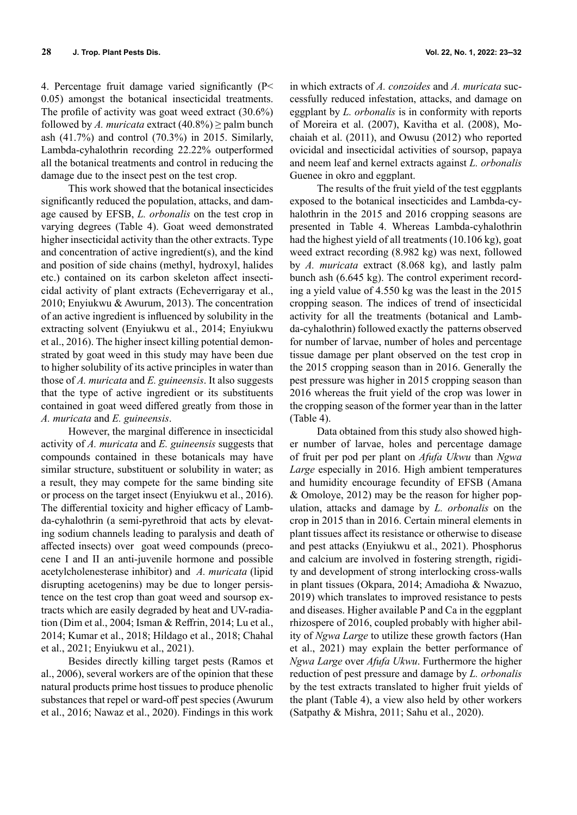4. Percentage fruit damage varied significantly (P< 0.05) amongst the botanical insecticidal treatments. The profile of activity was goat weed extract (30.6%)

followed by *A. muricata* extract  $(40.8\%) \geq$  palm bunch ash (41.7%) and control (70.3%) in 2015. Similarly, Lambda-cyhalothrin recording 22.22% outperformed all the botanical treatments and control in reducing the damage due to the insect pest on the test crop.

This work showed that the botanical insecticides significantly reduced the population, attacks, and damage caused by EFSB, *L. orbonalis* on the test crop in varying degrees (Table 4). Goat weed demonstrated higher insecticidal activity than the other extracts. Type and concentration of active ingredient(s), and the kind and position of side chains (methyl, hydroxyl, halides etc.) contained on its carbon skeleton affect insecticidal activity of plant extracts (Echeverrigaray et al., 2010; Enyiukwu & Awurum, 2013). The concentration of an active ingredient is influenced by solubility in the extracting solvent (Enyiukwu et al., 2014; Enyiukwu et al., 2016). The higher insect killing potential demonstrated by goat weed in this study may have been due to higher solubility of its active principles in water than those of *A. muricata* and *E. guineensis*. It also suggests that the type of active ingredient or its substituents contained in goat weed differed greatly from those in *A. muricata* and *E. guineensis*.

However, the marginal difference in insecticidal activity of *A. muricata* and *E. guineensis* suggests that compounds contained in these botanicals may have similar structure, substituent or solubility in water; as a result, they may compete for the same binding site or process on the target insect (Enyiukwu et al., 2016). The differential toxicity and higher efficacy of Lambda-cyhalothrin (a semi-pyrethroid that acts by elevating sodium channels leading to paralysis and death of affected insects) over goat weed compounds (precocene I and II an anti-juvenile hormone and possible acetylcholenesterase inhibitor) and *A. muricata* (lipid disrupting acetogenins) may be due to longer persistence on the test crop than goat weed and soursop extracts which are easily degraded by heat and UV-radiation (Dim et al., 2004; Isman & Reffrin, 2014; Lu et al., 2014; Kumar et al., 2018; Hildago et al., 2018; Chahal et al., 2021; Enyiukwu et al., 2021).

Besides directly killing target pests (Ramos et al., 2006), several workers are of the opinion that these natural products prime host tissues to produce phenolic substances that repel or ward-off pest species (Awurum et al., 2016; Nawaz et al., 2020). Findings in this work

in which extracts of *A. conzoides* and *A. muricata* successfully reduced infestation, attacks, and damage on eggplant by *L. orbonalis* is in conformity with reports of Moreira et al. (2007), Kavitha et al. (2008), Mochaiah et al. (2011), and Owusu (2012) who reported ovicidal and insecticidal activities of soursop, papaya and neem leaf and kernel extracts against *L. orbonalis*  Guenee in okro and eggplant.

The results of the fruit yield of the test eggplants exposed to the botanical insecticides and Lambda-cyhalothrin in the 2015 and 2016 cropping seasons are presented in Table 4. Whereas Lambda-cyhalothrin had the highest yield of all treatments (10.106 kg), goat weed extract recording (8.982 kg) was next, followed by *A. muricata* extract (8.068 kg), and lastly palm bunch ash (6.645 kg). The control experiment recording a yield value of 4.550 kg was the least in the 2015 cropping season. The indices of trend of insecticidal activity for all the treatments (botanical and Lambda-cyhalothrin) followed exactly the patterns observed for number of larvae, number of holes and percentage tissue damage per plant observed on the test crop in the 2015 cropping season than in 2016. Generally the pest pressure was higher in 2015 cropping season than 2016 whereas the fruit yield of the crop was lower in the cropping season of the former year than in the latter (Table 4).

Data obtained from this study also showed higher number of larvae, holes and percentage damage of fruit per pod per plant on *Afufa Ukwu* than *Ngwa Large* especially in 2016. High ambient temperatures and humidity encourage fecundity of EFSB (Amana & Omoloye, 2012) may be the reason for higher population, attacks and damage by *L. orbonalis* on the crop in 2015 than in 2016. Certain mineral elements in plant tissues affect its resistance or otherwise to disease and pest attacks (Enyiukwu et al., 2021). Phosphorus and calcium are involved in fostering strength, rigidity and development of strong interlocking cross-walls in plant tissues (Okpara, 2014; Amadioha & Nwazuo, 2019) which translates to improved resistance to pests and diseases. Higher available P and Ca in the eggplant rhizospere of 2016, coupled probably with higher ability of *Ngwa Large* to utilize these growth factors (Han et al., 2021) may explain the better performance of *Ngwa Large* over *Afufa Ukwu*. Furthermore the higher reduction of pest pressure and damage by *L. orbonalis*  by the test extracts translated to higher fruit yields of the plant (Table 4), a view also held by other workers (Satpathy & Mishra, 2011; Sahu et al., 2020).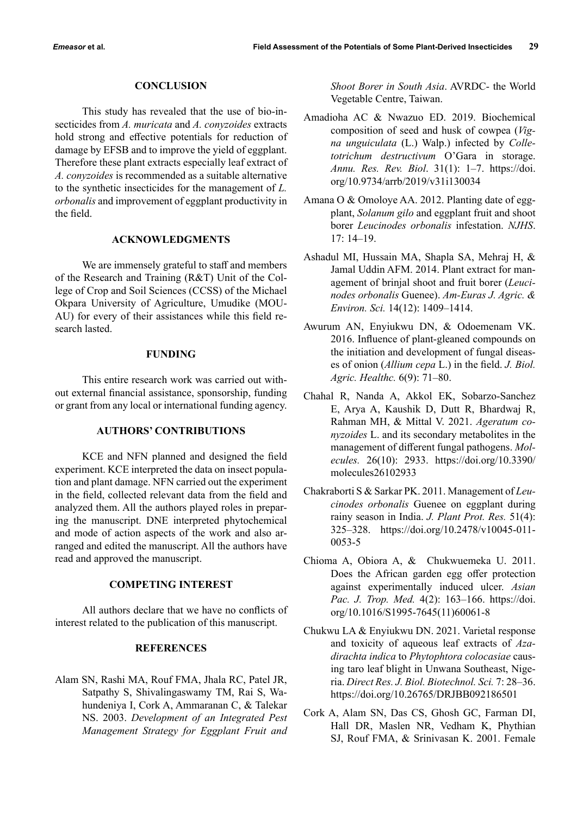## **CONCLUSION**

This study has revealed that the use of bio-insecticides from *A. muricata* and *A. conyzoides* extracts hold strong and effective potentials for reduction of damage by EFSB and to improve the yield of eggplant. Therefore these plant extracts especially leaf extract of *A. conyzoides* is recommended as a suitable alternative to the synthetic insecticides for the management of *L. orbonalis* and improvement of eggplant productivity in the field.

# **ACKNOWLEDGMENTS**

We are immensely grateful to staff and members of the Research and Training (R&T) Unit of the College of Crop and Soil Sciences (CCSS) of the Michael Okpara University of Agriculture, Umudike (MOU-AU) for every of their assistances while this field research lasted.

# **FUNDING**

This entire research work was carried out without external financial assistance, sponsorship, funding or grant from any local or international funding agency.

# **AUTHORS' CONTRIBUTIONS**

KCE and NFN planned and designed the field experiment. KCE interpreted the data on insect population and plant damage. NFN carried out the experiment in the field, collected relevant data from the field and analyzed them. All the authors played roles in preparing the manuscript. DNE interpreted phytochemical and mode of action aspects of the work and also arranged and edited the manuscript. All the authors have read and approved the manuscript.

#### **COMPETING INTEREST**

All authors declare that we have no conflicts of interest related to the publication of this manuscript.

# **REFERENCES**

Alam SN, Rashi MA, Rouf FMA, Jhala RC, Patel JR, Satpathy S, Shivalingaswamy TM, Rai S, Wahundeniya I, Cork A, Ammaranan C, & Talekar NS. 2003. *Development of an Integrated Pest Management Strategy for Eggplant Fruit and*  *Shoot Borer in South Asia*. AVRDC- the World Vegetable Centre, Taiwan.

- Amadioha AC & Nwazuo ED. 2019. Biochemical composition of seed and husk of cowpea (*Vigna unguiculata* (L.) Walp.) infected by *Colletotrichum destructivum* O'Gara in storage. *Annu. Res. Rev. Biol*. 31(1): 1–7. https://doi. org/10.9734/arrb/2019/v31i130034
- Amana O & Omoloye AA. 2012. Planting date of eggplant, *Solanum gilo* and eggplant fruit and shoot borer *Leucinodes orbonalis* infestation. *NJHS*. 17: 14–19.
- Ashadul MI, Hussain MA, Shapla SA, Mehraj H, & Jamal Uddin AFM. 2014. Plant extract for management of brinjal shoot and fruit borer (*Leucinodes orbonalis* Guenee). *Am-Euras J. Agric. & Environ. Sci.* 14(12): 1409–1414.
- Awurum AN, Enyiukwu DN, & Odoemenam VK. 2016. Influence of plant-gleaned compounds on the initiation and development of fungal diseases of onion (*Allium cepa* L.) in the field. *J. Biol. Agric. Healthc.* 6(9): 71–80.
- Chahal R, Nanda A, Akkol EK, Sobarzo-Sanchez E, Arya A, Kaushik D, Dutt R, Bhardwaj R, Rahman MH, & Mittal V. 2021. *Ageratum conyzoides* L. and its secondary metabolites in the management of different fungal pathogens. *Molecules.* 26(10): 2933. https://doi.org/10.3390/ molecules26102933
- Chakraborti S & Sarkar PK. 2011. Management of *Leucinodes orbonalis* Guenee on eggplant during rainy season in India. *J. Plant Prot. Res.* 51(4): 325–328. https://doi.org/10.2478/v10045-011- 0053-5
- Chioma A, Obiora A, & Chukwuemeka U. 2011. Does the African garden egg offer protection against experimentally induced ulcer. *Asian Pac. J. Trop. Med.* 4(2): 163–166. https://doi. org/10.1016/S1995-7645(11)60061-8
- Chukwu LA & Enyiukwu DN. 2021. Varietal response and toxicity of aqueous leaf extracts of *Azadirachta indica* to *Phytophtora colocasiae* causing taro leaf blight in Unwana Southeast, Nigeria. *Direct Res. J. Biol. Biotechnol. Sci.* 7: 28–36. https://doi.org/10.26765/DRJBB092186501
- Cork A, Alam SN, Das CS, Ghosh GC, Farman DI, Hall DR, Maslen NR, Vedham K, Phythian SJ, Rouf FMA, & Srinivasan K. 2001. Female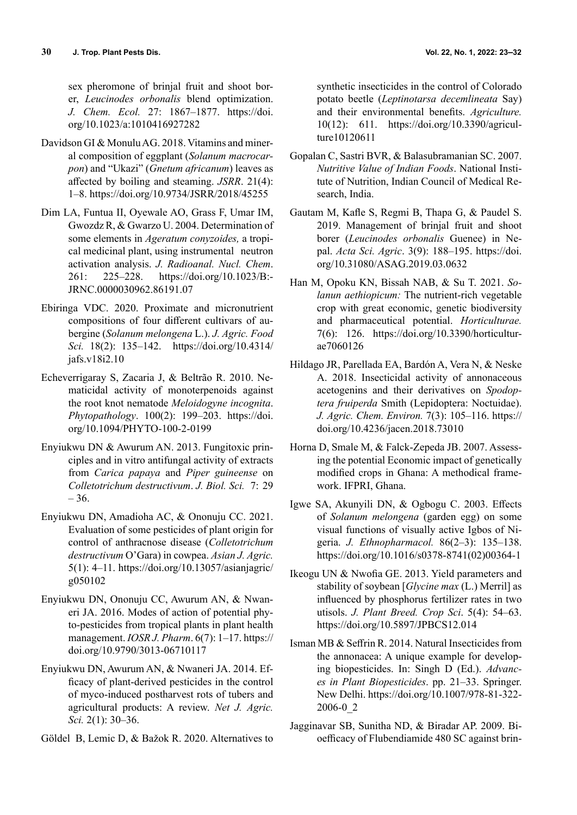sex pheromone of brinjal fruit and shoot borer, *Leucinodes orbonalis* blend optimization. *J. Chem. Ecol.* 27: 1867–1877. https://doi. org/10.1023/a:1010416927282

- Davidson GI & Monulu AG. 2018. Vitamins and mineral composition of eggplant (*Solanum macrocarpon*) and "Ukazi" (*Gnetum africanum*) leaves as affected by boiling and steaming. *JSRR*. 21(4): 1–8. https://doi.org/10.9734/JSRR/2018/45255
- Dim LA, Funtua II, Oyewale AO, Grass F, Umar IM, Gwozdz R, & Gwarzo U. 2004. Determination of some elements in *Ageratum conyzoides,* a tropical medicinal plant, using instrumental neutron activation analysis. *J. Radioanal. Nucl. Chem*. 261: 225–228. https://doi.org/10.1023/B:- JRNC.0000030962.86191.07
- Ebiringa VDC. 2020. Proximate and micronutrient compositions of four different cultivars of aubergine (*Solanum melongena* L.). *J. Agric. Food Sci.* 18(2): 135–142. https://doi.org/10.4314/ jafs.v18i2.10
- Echeverrigaray S, Zacaria J, & Beltrão R. 2010. Nematicidal activity of monoterpenoids against the root knot nematode *Meloidogyne incognita*. *Phytopathology*. 100(2): 199–203. https://doi. org/10.1094/PHYTO-100-2-0199
- Enyiukwu DN & Awurum AN. 2013. Fungitoxic principles and in vitro antifungal activity of extracts from *Carica papaya* and *Piper guineense* on *Colletotrichum destructivum*. *J. Biol. Sci.* 7: 29 – 36.
- Enyiukwu DN, Amadioha AC, & Ononuju CC. 2021. Evaluation of some pesticides of plant origin for control of anthracnose disease (*Colletotrichum destructivum* O'Gara) in cowpea. *Asian J. Agric.*  5(1): 4–11. https://doi.org/10.13057/asianjagric/ g050102
- Enyiukwu DN, Ononuju CC, Awurum AN, & Nwaneri JA. 2016. Modes of action of potential phyto-pesticides from tropical plants in plant health management. *IOSR J. Pharm*. 6(7): 1–17. https:// doi.org/10.9790/3013-06710117
- Enyiukwu DN, Awurum AN, & Nwaneri JA. 2014. Efficacy of plant-derived pesticides in the control of myco-induced postharvest rots of tubers and agricultural products: A review. *Net J. Agric. Sci.* 2(1): 30–36.
- Göldel B, Lemic D, & Bažok R. 2020. Alternatives to

synthetic insecticides in the control of Colorado potato beetle (*Leptinotarsa decemlineata* Say) and their environmental benefits. *Agriculture.* 10(12): 611. https://doi.org/10.3390/agriculture10120611

- Gopalan C, Sastri BVR, & Balasubramanian SC. 2007. *Nutritive Value of Indian Foods*. National Institute of Nutrition, Indian Council of Medical Research, India.
- Gautam M, Kafle S, Regmi B, Thapa G, & Paudel S. 2019. Management of brinjal fruit and shoot borer (*Leucinodes orbonalis* Guenee) in Nepal. *Acta Sci. Agric*. 3(9): 188–195. https://doi. org/10.31080/ASAG.2019.03.0632
- Han M, Opoku KN, Bissah NAB, & Su T. 2021. *Solanun aethiopicum:* The nutrient-rich vegetable crop with great economic, genetic biodiversity and pharmaceutical potential. *Horticulturae.*  7(6): 126. https://doi.org/10.3390/horticulturae7060126
- Hildago JR, Parellada EA, Bardón A, Vera N, & Neske A. 2018. Insecticidal activity of annonaceous acetogenins and their derivatives on *Spodoptera fruiperda* Smith (Lepidoptera: Noctuidae). *J. Agric. Chem. Environ.* 7(3): 105–116. https:// doi.org/10.4236/jacen.2018.73010
- Horna D, Smale M, & Falck-Zepeda JB. 2007. Assessing the potential Economic impact of genetically modified crops in Ghana: A methodical framework. IFPRI, Ghana.
- Igwe SA, Akunyili DN, & Ogbogu C. 2003. Effects of *Solanum melongena* (garden egg) on some visual functions of visually active Igbos of Nigeria. *J. Ethnopharmacol.* 86(2–3): 135–138. https://doi.org/10.1016/s0378-8741(02)00364-1
- Ikeogu UN & Nwofia GE. 2013. Yield parameters and stability of soybean [*Glycine max* (L.) Merril] as influenced by phosphorus fertilizer rates in two utisols. *J. Plant Breed. Crop Sci*. 5(4): 54–63. https://doi.org/10.5897/JPBCS12.014
- Isman MB & Seffrin R. 2014. Natural Insecticides from the annonacea: A unique example for developing biopesticides. In: Singh D (Ed.). *Advances in Plant Biopesticides*. pp. 21–33. Springer. New Delhi. https://doi.org/10.1007/978-81-322- 2006-0\_2
- Jagginavar SB, Sunitha ND, & Biradar AP. 2009. Bioefficacy of Flubendiamide 480 SC against brin-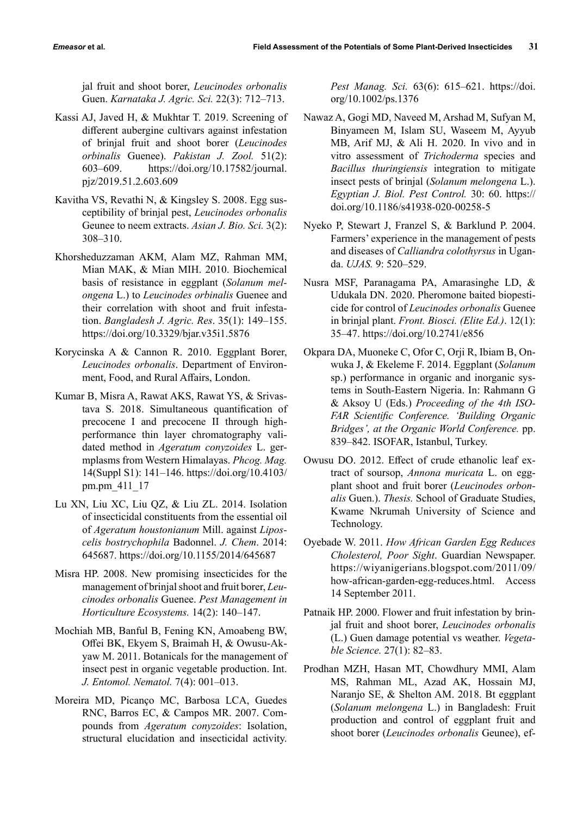jal fruit and shoot borer, *Leucinodes orbonalis* Guen. *Karnataka J. Agric. Sci.* 22(3): 712–713.

- Kassi AJ, Javed H, & Mukhtar T. 2019. Screening of different aubergine cultivars against infestation of brinjal fruit and shoot borer (*Leucinodes orbinalis* Guenee). *Pakistan J. Zool.* 51(2): 603–609. https://doi.org/10.17582/journal. pjz/2019.51.2.603.609
- Kavitha VS, Revathi N, & Kingsley S. 2008. Egg susceptibility of brinjal pest, *Leucinodes orbonalis* Geunee to neem extracts. *Asian J. Bio. Sci.* 3(2): 308–310.
- Khorsheduzzaman AKM, Alam MZ, Rahman MM, Mian MAK, & Mian MIH. 2010. Biochemical basis of resistance in eggplant (*Solanum melongena* L.) to *Leucinodes orbinalis* Guenee and their correlation with shoot and fruit infestation. *Bangladesh J. Agric. Res*. 35(1): 149–155. https://doi.org/10.3329/bjar.v35i1.5876
- Korycinska A & Cannon R. 2010. Eggplant Borer, *Leucinodes orbonalis*. Department of Environment, Food, and Rural Affairs, London.
- Kumar B, Misra A, Rawat AKS, Rawat YS, & Srivastava S. 2018. Simultaneous quantification of precocene I and precocene II through highperformance thin layer chromatography validated method in *Ageratum conyzoides* L. germplasms from Western Himalayas. *Phcog. Mag.* 14(Suppl S1): 141–146. https://doi.org/10.4103/ pm.pm\_411\_17
- Lu XN, Liu XC, Liu QZ, & Liu ZL. 2014. Isolation of insecticidal constituents from the essential oil of *Ageratum houstonianum* Mill. against *Liposcelis bostrychophila* Badonnel. *J. Chem*. 2014: 645687. https://doi.org/10.1155/2014/645687
- Misra HP. 2008. New promising insecticides for the management of brinjal shoot and fruit borer, *Leucinodes orbonalis* Guenee. *Pest Management in Horticulture Ecosystems.* 14(2): 140–147.
- Mochiah MB, Banful B, Fening KN, Amoabeng BW, Offei BK, Ekyem S, Braimah H, & Owusu-Akyaw M. 2011. Botanicals for the management of insect pest in organic vegetable production. Int. *J. Entomol. Nematol.* 7(4): 001–013.
- Moreira MD, Picanço MC, Barbosa LCA, Guedes RNC, Barros EC, & Campos MR. 2007. Compounds from *Ageratum conyzoides*: Isolation, structural elucidation and insecticidal activity.

*Pest Manag. Sci.* 63(6): 615–621. https://doi. org/10.1002/ps.1376

- Nawaz A, Gogi MD, Naveed M, Arshad M, Sufyan M, Binyameen M, Islam SU, Waseem M, Ayyub MB, Arif MJ, & Ali H. 2020. In vivo and in vitro assessment of *Trichoderma* species and *Bacillus thuringiensis* integration to mitigate insect pests of brinjal (*Solanum melongena* L.). *Egyptian J. Biol. Pest Control.* 30: 60. https:// doi.org/10.1186/s41938-020-00258-5
- Nyeko P, Stewart J, Franzel S, & Barklund P. 2004. Farmers' experience in the management of pests and diseases of *Calliandra colothyrsus* in Uganda. *UJAS.* 9: 520–529.
- Nusra MSF, Paranagama PA, Amarasinghe LD, & Udukala DN. 2020. Pheromone baited biopesticide for control of *Leucinodes orbonalis* Guenee in brinjal plant. *Front. Biosci. (Elite Ed.)*. 12(1): 35–47. https://doi.org/10.2741/e856
- Okpara DA, Muoneke C, Ofor C, Orji R, Ibiam B, Onwuka J, & Ekeleme F. 2014. Eggplant (*Solanum* sp.) performance in organic and inorganic systems in South-Eastern Nigeria. In: Rahmann G & Aksoy U (Eds.) *Proceeding of the 4th ISO-FAR Scientific Conference. 'Building Organic Bridges', at the Organic World Conference.* pp. 839–842. ISOFAR, Istanbul, Turkey.
- Owusu DO. 2012. Effect of crude ethanolic leaf extract of soursop, *Annona muricata* L. on eggplant shoot and fruit borer (*Leucinodes orbonalis* Guen.). *Thesis.* School of Graduate Studies, Kwame Nkrumah University of Science and Technology.
- Oyebade W. 2011. *How African Garden Egg Reduces Cholesterol, Poor Sight*. Guardian Newspaper. https://wiyanigerians.blogspot.com/2011/09/ how-african-garden-egg-reduces.html. Access 14 September 2011.
- Patnaik HP. 2000. Flower and fruit infestation by brinjal fruit and shoot borer, *Leucinodes orbonalis*  (L.) Guen damage potential vs weather. *Vegetable Science.* 27(1): 82–83.
- Prodhan MZH, Hasan MT, Chowdhury MMI, Alam MS, Rahman ML, Azad AK, Hossain MJ, Naranjo SE, & Shelton AM. 2018. Bt eggplant (*Solanum melongena* L.) in Bangladesh: Fruit production and control of eggplant fruit and shoot borer (*Leucinodes orbonalis* Geunee), ef-